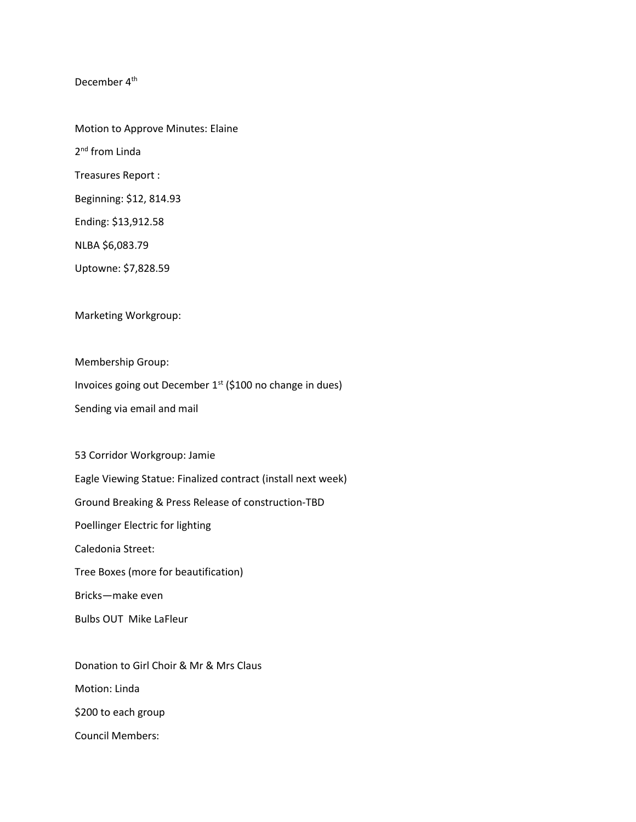December 4<sup>th</sup>

Motion to Approve Minutes: Elaine 2<sup>nd</sup> from Linda Treasures Report : Beginning: \$12, 814.93 Ending: \$13,912.58 NLBA \$6,083.79

Uptowne: \$7,828.59

Marketing Workgroup:

Membership Group:

Invoices going out December 1<sup>st</sup> (\$100 no change in dues)

Sending via email and mail

53 Corridor Workgroup: Jamie Eagle Viewing Statue: Finalized contract (install next week) Ground Breaking & Press Release of construction-TBD Poellinger Electric for lighting Caledonia Street: Tree Boxes (more for beautification) Bricks—make even Bulbs OUT Mike LaFleur

Donation to Girl Choir & Mr & Mrs Claus Motion: Linda \$200 to each group Council Members: